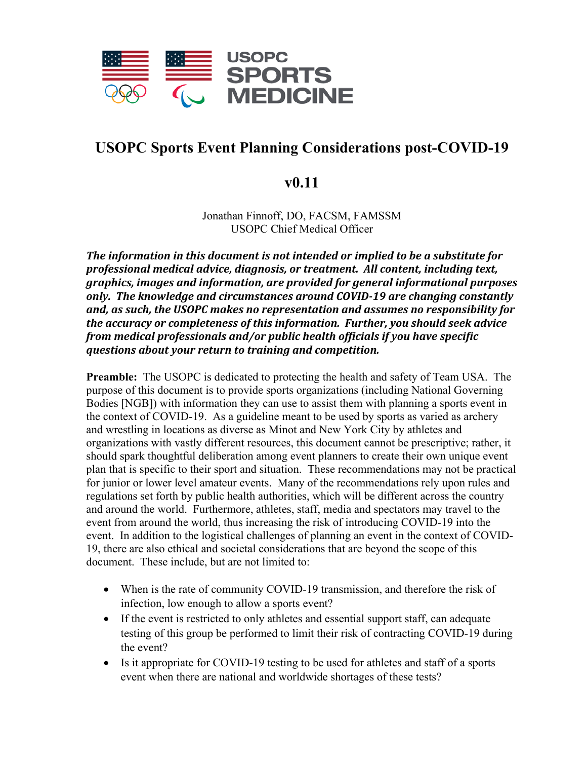

# **USOPC Sports Event Planning Considerations post-COVID-19**

# **v0.11**

Jonathan Finnoff, DO, FACSM, FAMSSM USOPC Chief Medical Officer

*The information in this document is not intended or implied to be a substitute for professional medical advice, diagnosis, or treatment. All content, including text, graphics, images and information, are provided for general informational purposes only. The knowledge and circumstances around COVID-19 are changing constantly and, as such, the USOPC makes no representation and assumes no responsibility for the accuracy or completeness of this information. Further, you should seek advice from medical professionals and/or public health officials if you have specific questions about your return to training and competition.* 

**Preamble:** The USOPC is dedicated to protecting the health and safety of Team USA. The purpose of this document is to provide sports organizations (including National Governing Bodies [NGB]) with information they can use to assist them with planning a sports event in the context of COVID-19. As a guideline meant to be used by sports as varied as archery and wrestling in locations as diverse as Minot and New York City by athletes and organizations with vastly different resources, this document cannot be prescriptive; rather, it should spark thoughtful deliberation among event planners to create their own unique event plan that is specific to their sport and situation. These recommendations may not be practical for junior or lower level amateur events. Many of the recommendations rely upon rules and regulations set forth by public health authorities, which will be different across the country and around the world. Furthermore, athletes, staff, media and spectators may travel to the event from around the world, thus increasing the risk of introducing COVID-19 into the event. In addition to the logistical challenges of planning an event in the context of COVID-19, there are also ethical and societal considerations that are beyond the scope of this document. These include, but are not limited to:

- When is the rate of community COVID-19 transmission, and therefore the risk of infection, low enough to allow a sports event?
- If the event is restricted to only athletes and essential support staff, can adequate testing of this group be performed to limit their risk of contracting COVID-19 during the event?
- Is it appropriate for COVID-19 testing to be used for athletes and staff of a sports event when there are national and worldwide shortages of these tests?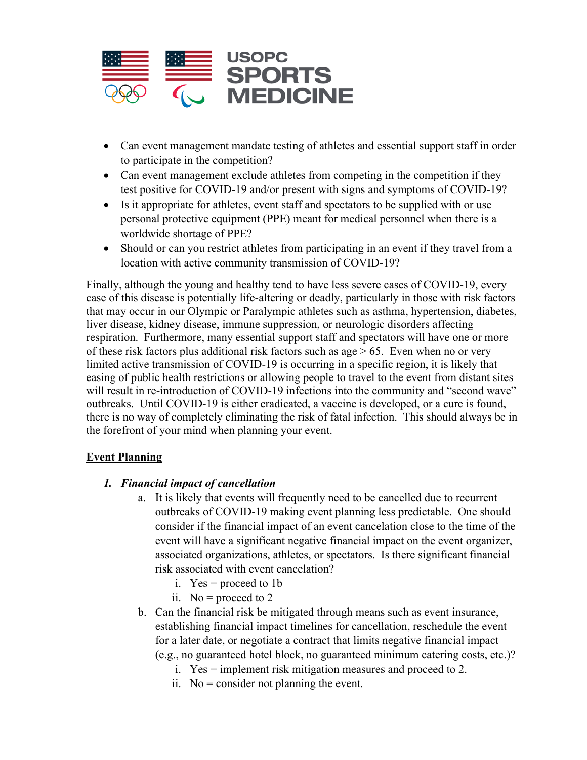

- Can event management mandate testing of athletes and essential support staff in order to participate in the competition?
- Can event management exclude athletes from competing in the competition if they test positive for COVID-19 and/or present with signs and symptoms of COVID-19?
- Is it appropriate for athletes, event staff and spectators to be supplied with or use personal protective equipment (PPE) meant for medical personnel when there is a worldwide shortage of PPE?
- Should or can you restrict athletes from participating in an event if they travel from a location with active community transmission of COVID-19?

Finally, although the young and healthy tend to have less severe cases of COVID-19, every case of this disease is potentially life-altering or deadly, particularly in those with risk factors that may occur in our Olympic or Paralympic athletes such as asthma, hypertension, diabetes, liver disease, kidney disease, immune suppression, or neurologic disorders affecting respiration. Furthermore, many essential support staff and spectators will have one or more of these risk factors plus additional risk factors such as age  $> 65$ . Even when no or very limited active transmission of COVID-19 is occurring in a specific region, it is likely that easing of public health restrictions or allowing people to travel to the event from distant sites will result in re-introduction of COVID-19 infections into the community and "second wave" outbreaks. Until COVID-19 is either eradicated, a vaccine is developed, or a cure is found, there is no way of completely eliminating the risk of fatal infection. This should always be in the forefront of your mind when planning your event.

#### **Event Planning**

#### *1. Financial impact of cancellation*

- a. It is likely that events will frequently need to be cancelled due to recurrent outbreaks of COVID-19 making event planning less predictable. One should consider if the financial impact of an event cancelation close to the time of the event will have a significant negative financial impact on the event organizer, associated organizations, athletes, or spectators. Is there significant financial risk associated with event cancelation?
	- i.  $Yes = proceed to 1b$
	- ii. No = proceed to 2
- b. Can the financial risk be mitigated through means such as event insurance, establishing financial impact timelines for cancellation, reschedule the event for a later date, or negotiate a contract that limits negative financial impact (e.g., no guaranteed hotel block, no guaranteed minimum catering costs, etc.)?
	- i. Yes = implement risk mitigation measures and proceed to 2.
	- ii.  $No = \text{consider not planning the event.}$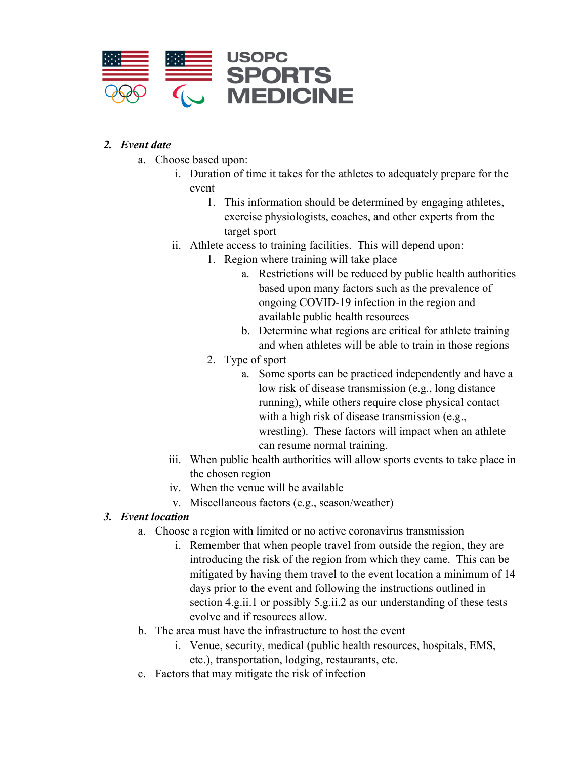

#### *2. Event date*

- a. Choose based upon:
	- i. Duration of time it takes for the athletes to adequately prepare for the event
		- 1. This information should be determined by engaging athletes, exercise physiologists, coaches, and other experts from the target sport
	- ii. Athlete access to training facilities. This will depend upon:
		- 1. Region where training will take place
			- a. Restrictions will be reduced by public health authorities based upon many factors such as the prevalence of ongoing COVID-19 infection in the region and available public health resources
			- b. Determine what regions are critical for athlete training and when athletes will be able to train in those regions
		- 2. Type of sport
			- a. Some sports can be practiced independently and have a low risk of disease transmission (e.g., long distance running), while others require close physical contact with a high risk of disease transmission (e.g., wrestling). These factors will impact when an athlete can resume normal training.
	- iii. When public health authorities will allow sports events to take place in the chosen region
	- iv. When the venue will be available
	- v. Miscellaneous factors (e.g., season/weather)

# *3. Event location*

- a. Choose a region with limited or no active coronavirus transmission
	- i. Remember that when people travel from outside the region, they are introducing the risk of the region from which they came. This can be mitigated by having them travel to the event location a minimum of 14 days prior to the event and following the instructions outlined in section 4.g.ii.1 or possibly 5.g.ii.2 as our understanding of these tests evolve and if resources allow.
- b. The area must have the infrastructure to host the event
	- i. Venue, security, medical (public health resources, hospitals, EMS, etc.), transportation, lodging, restaurants, etc.
- c. Factors that may mitigate the risk of infection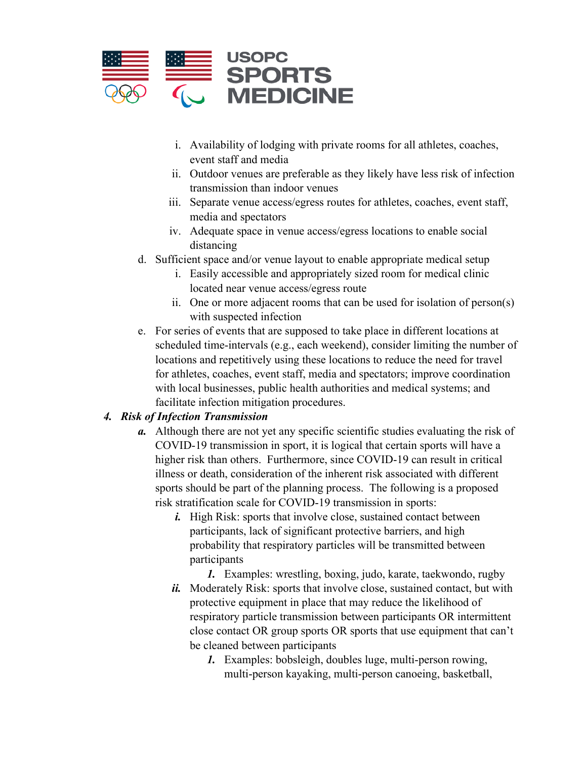

- i. Availability of lodging with private rooms for all athletes, coaches, event staff and media
- ii. Outdoor venues are preferable as they likely have less risk of infection transmission than indoor venues
- iii. Separate venue access/egress routes for athletes, coaches, event staff, media and spectators
- iv. Adequate space in venue access/egress locations to enable social distancing
- d. Sufficient space and/or venue layout to enable appropriate medical setup
	- i. Easily accessible and appropriately sized room for medical clinic located near venue access/egress route
	- ii. One or more adjacent rooms that can be used for isolation of person(s) with suspected infection
- e. For series of events that are supposed to take place in different locations at scheduled time-intervals (e.g., each weekend), consider limiting the number of locations and repetitively using these locations to reduce the need for travel for athletes, coaches, event staff, media and spectators; improve coordination with local businesses, public health authorities and medical systems; and facilitate infection mitigation procedures.

# *4. Risk of Infection Transmission*

- *a.* Although there are not yet any specific scientific studies evaluating the risk of COVID-19 transmission in sport, it is logical that certain sports will have a higher risk than others. Furthermore, since COVID-19 can result in critical illness or death, consideration of the inherent risk associated with different sports should be part of the planning process. The following is a proposed risk stratification scale for COVID-19 transmission in sports:
	- *i.* High Risk: sports that involve close, sustained contact between participants, lack of significant protective barriers, and high probability that respiratory particles will be transmitted between participants
		- *1.* Examples: wrestling, boxing, judo, karate, taekwondo, rugby
	- *ii.* Moderately Risk: sports that involve close, sustained contact, but with protective equipment in place that may reduce the likelihood of respiratory particle transmission between participants OR intermittent close contact OR group sports OR sports that use equipment that can't be cleaned between participants
		- *1.* Examples: bobsleigh, doubles luge, multi-person rowing, multi-person kayaking, multi-person canoeing, basketball,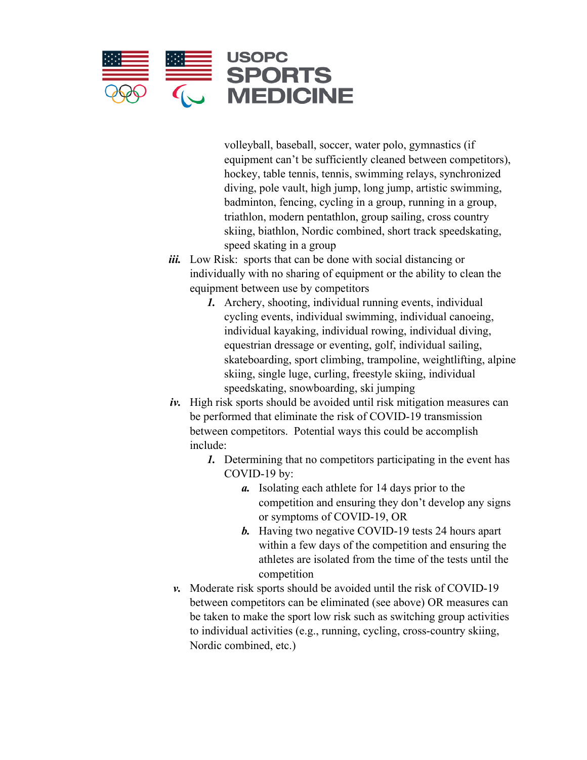

volleyball, baseball, soccer, water polo, gymnastics (if equipment can't be sufficiently cleaned between competitors), hockey, table tennis, tennis, swimming relays, synchronized diving, pole vault, high jump, long jump, artistic swimming, badminton, fencing, cycling in a group, running in a group, triathlon, modern pentathlon, group sailing, cross country skiing, biathlon, Nordic combined, short track speedskating, speed skating in a group

- *iii.* Low Risk: sports that can be done with social distancing or individually with no sharing of equipment or the ability to clean the equipment between use by competitors
	- *1.* Archery, shooting, individual running events, individual cycling events, individual swimming, individual canoeing, individual kayaking, individual rowing, individual diving, equestrian dressage or eventing, golf, individual sailing, skateboarding, sport climbing, trampoline, weightlifting, alpine skiing, single luge, curling, freestyle skiing, individual speedskating, snowboarding, ski jumping
- *iv.* High risk sports should be avoided until risk mitigation measures can be performed that eliminate the risk of COVID-19 transmission between competitors. Potential ways this could be accomplish include:
	- *1.* Determining that no competitors participating in the event has COVID-19 by:
		- *a.* Isolating each athlete for 14 days prior to the competition and ensuring they don't develop any signs or symptoms of COVID-19, OR
		- *b.* Having two negative COVID-19 tests 24 hours apart within a few days of the competition and ensuring the athletes are isolated from the time of the tests until the competition
- *v.* Moderate risk sports should be avoided until the risk of COVID-19 between competitors can be eliminated (see above) OR measures can be taken to make the sport low risk such as switching group activities to individual activities (e.g., running, cycling, cross-country skiing, Nordic combined, etc.)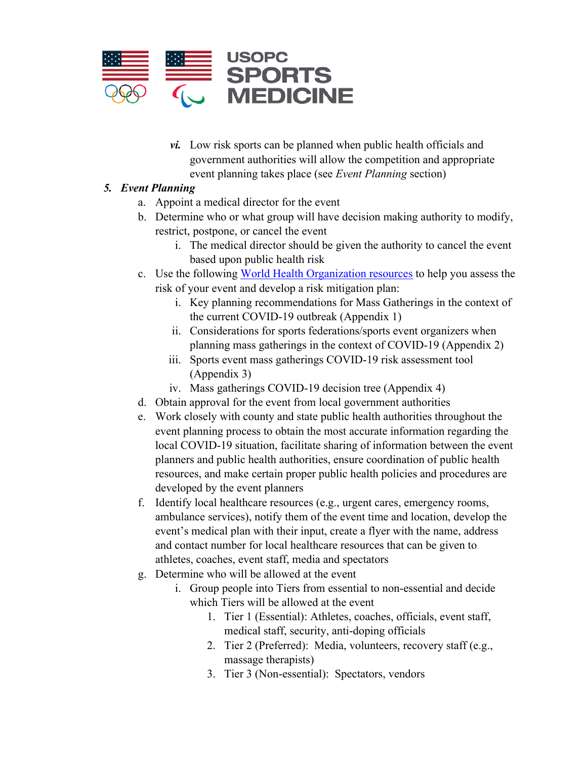

*vi.* Low risk sports can be planned when public health officials and government authorities will allow the competition and appropriate event planning takes place (see *Event Planning* section)

# *5. Event Planning*

- a. Appoint a medical director for the event
- b. Determine who or what group will have decision making authority to modify, restrict, postpone, or cancel the event
	- i. The medical director should be given the authority to cancel the event based upon public health risk
- c. Use the following [World Health Organization resources](https://www.who.int/emergencies/diseases/novel-coronavirus-2019/technical-guidance/points-of-entry-and-mass-gatherings) to help you assess the risk of your event and develop a risk mitigation plan:
	- i. Key planning recommendations for Mass Gatherings in the context of the current COVID-19 outbreak (Appendix 1)
	- ii. Considerations for sports federations/sports event organizers when planning mass gatherings in the context of COVID-19 (Appendix 2)
	- iii. Sports event mass gatherings COVID-19 risk assessment tool (Appendix 3)
	- iv. Mass gatherings COVID-19 decision tree (Appendix 4)
- d. Obtain approval for the event from local government authorities
- e. Work closely with county and state public health authorities throughout the event planning process to obtain the most accurate information regarding the local COVID-19 situation, facilitate sharing of information between the event planners and public health authorities, ensure coordination of public health resources, and make certain proper public health policies and procedures are developed by the event planners
- f. Identify local healthcare resources (e.g., urgent cares, emergency rooms, ambulance services), notify them of the event time and location, develop the event's medical plan with their input, create a flyer with the name, address and contact number for local healthcare resources that can be given to athletes, coaches, event staff, media and spectators
- g. Determine who will be allowed at the event
	- i. Group people into Tiers from essential to non-essential and decide which Tiers will be allowed at the event
		- 1. Tier 1 (Essential): Athletes, coaches, officials, event staff, medical staff, security, anti-doping officials
		- 2. Tier 2 (Preferred): Media, volunteers, recovery staff (e.g., massage therapists)
		- 3. Tier 3 (Non-essential): Spectators, vendors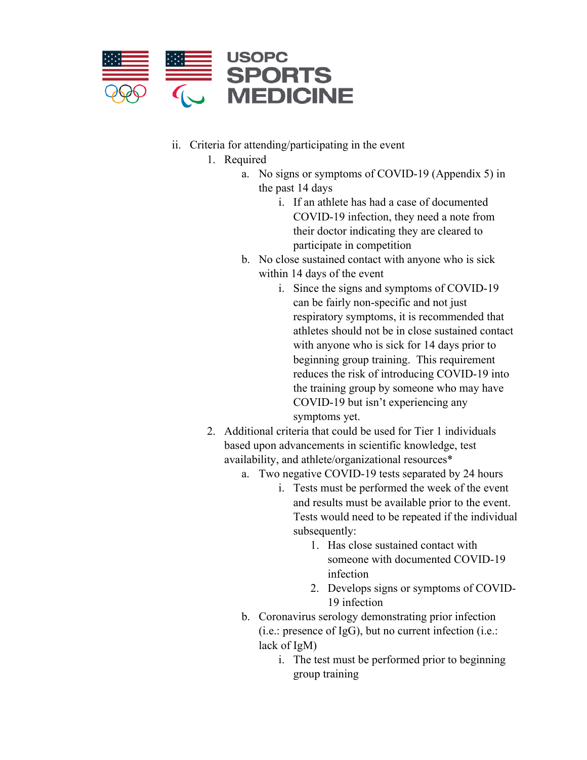

- <span id="page-6-0"></span>ii. Criteria for attending/participating in the event
	- 1. Required
		- a. No signs or symptoms of COVID-19 (Appendix 5) in the past 14 days
			- i. If an athlete has had a case of documented COVID-19 infection, they need a note from their doctor indicating they are cleared to participate in competition
		- b. No close sustained contact with anyone who is sick within 14 days of the event
			- i. Since the signs and symptoms of COVID-19 can be fairly non-specific and not just respiratory symptoms, it is recommended that athletes should not be in close sustained contact with anyone who is sick for 14 days prior to beginning group training. This requirement reduces the risk of introducing COVID-19 into the training group by someone who may have COVID-19 but isn't experiencing any symptoms yet.
	- 2. Additional criteria that could be used for Tier 1 individuals based upon advancements in scientific knowledge, test availability, and athlete/organizational resources[\\*](#page-12-0)
		- a. Two negative COVID-19 tests separated by 24 hours
			- i. Tests must be performed the week of the event and results must be available prior to the event. Tests would need to be repeated if the individual subsequently:
				- 1. Has close sustained contact with someone with documented COVID-19 infection
				- 2. Develops signs or symptoms of COVID-19 infection
		- b. Coronavirus serology demonstrating prior infection (i.e.: presence of IgG), but no current infection (i.e.: lack of IgM)
			- i. The test must be performed prior to beginning group training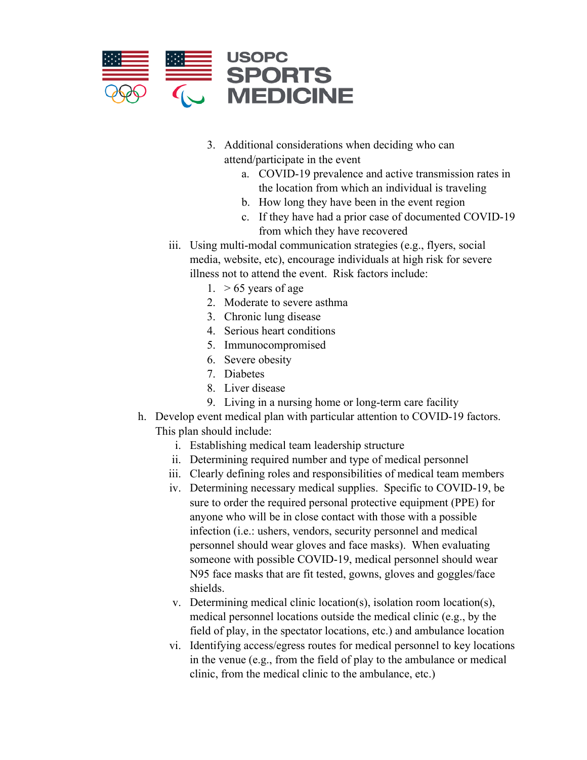

- 3. Additional considerations when deciding who can attend/participate in the event
	- a. COVID-19 prevalence and active transmission rates in the location from which an individual is traveling
	- b. How long they have been in the event region
	- c. If they have had a prior case of documented COVID-19 from which they have recovered
- iii. Using multi-modal communication strategies (e.g., flyers, social media, website, etc), encourage individuals at high risk for severe illness not to attend the event. Risk factors include:
	- 1.  $> 65$  years of age
	- 2. Moderate to severe asthma
	- 3. Chronic lung disease
	- 4. Serious heart conditions
	- 5. Immunocompromised
	- 6. Severe obesity
	- 7. Diabetes
	- 8. Liver disease
	- 9. Living in a nursing home or long-term care facility
- h. Develop event medical plan with particular attention to COVID-19 factors. This plan should include:
	- i. Establishing medical team leadership structure
	- ii. Determining required number and type of medical personnel
	- iii. Clearly defining roles and responsibilities of medical team members
	- iv. Determining necessary medical supplies. Specific to COVID-19, be sure to order the required personal protective equipment (PPE) for anyone who will be in close contact with those with a possible infection (i.e.: ushers, vendors, security personnel and medical personnel should wear gloves and face masks). When evaluating someone with possible COVID-19, medical personnel should wear N95 face masks that are fit tested, gowns, gloves and goggles/face shields.
	- v. Determining medical clinic location(s), isolation room location(s), medical personnel locations outside the medical clinic (e.g., by the field of play, in the spectator locations, etc.) and ambulance location
	- vi. Identifying access/egress routes for medical personnel to key locations in the venue (e.g., from the field of play to the ambulance or medical clinic, from the medical clinic to the ambulance, etc.)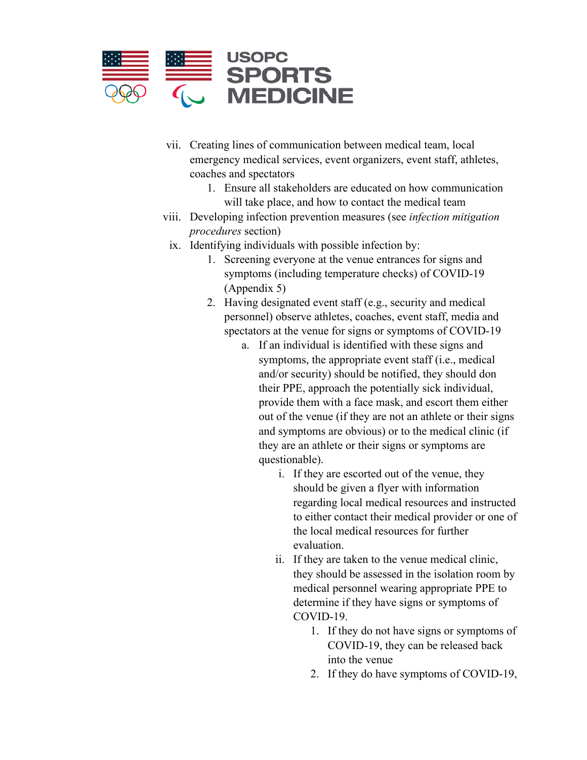

- vii. Creating lines of communication between medical team, local emergency medical services, event organizers, event staff, athletes, coaches and spectators
	- 1. Ensure all stakeholders are educated on how communication will take place, and how to contact the medical team
- viii. Developing infection prevention measures (see *infection mitigation procedures* section)
	- ix. Identifying individuals with possible infection by:
		- 1. Screening everyone at the venue entrances for signs and symptoms (including temperature checks) of COVID-19 (Appendix 5)
		- 2. Having designated event staff (e.g., security and medical personnel) observe athletes, coaches, event staff, media and spectators at the venue for signs or symptoms of COVID-19
			- a. If an individual is identified with these signs and symptoms, the appropriate event staff (i.e., medical and/or security) should be notified, they should don their PPE, approach the potentially sick individual, provide them with a face mask, and escort them either out of the venue (if they are not an athlete or their signs and symptoms are obvious) or to the medical clinic (if they are an athlete or their signs or symptoms are questionable).
				- i. If they are escorted out of the venue, they should be given a flyer with information regarding local medical resources and instructed to either contact their medical provider or one of the local medical resources for further evaluation.
				- ii. If they are taken to the venue medical clinic, they should be assessed in the isolation room by medical personnel wearing appropriate PPE to determine if they have signs or symptoms of COVID-19.
					- 1. If they do not have signs or symptoms of COVID-19, they can be released back into the venue
					- 2. If they do have symptoms of COVID-19,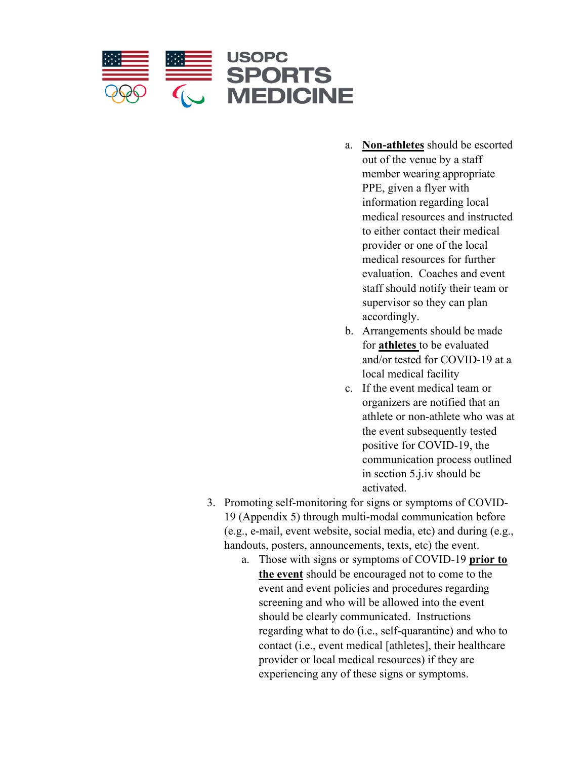

- a. **Non-athletes** should be escorted out of the venue by a staff member wearing appropriate PPE, given a flyer with information regarding local medical resources and instructed to either contact their medical provider or one of the local medical resources for further evaluation. Coaches and event staff should notify their team or supervisor so they can plan accordingly.
- b. Arrangements should be made for **athletes** to be evaluated and/or tested for COVID-19 at a local medical facility
- c. If the event medical team or organizers are notified that an athlete or non-athlete who was at the event subsequently tested positive for COVID-19, the communication process outlined in section 5.j.iv should be activated.
- 3. Promoting self-monitoring for signs or symptoms of COVID-19 (Appendix 5) through multi-modal communication before (e.g., e-mail, event website, social media, etc) and during (e.g., handouts, posters, announcements, texts, etc) the event.
	- a. Those with signs or symptoms of COVID-19 **prior to the event** should be encouraged not to come to the event and event policies and procedures regarding screening and who will be allowed into the event should be clearly communicated. Instructions regarding what to do (i.e., self-quarantine) and who to contact (i.e., event medical [athletes], their healthcare provider or local medical resources) if they are experiencing any of these signs or symptoms.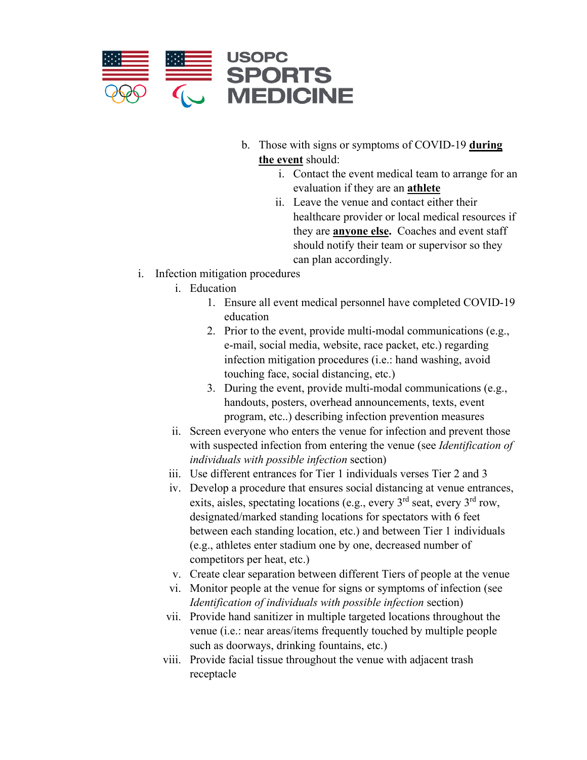

- b. Those with signs or symptoms of COVID-19 **during the event** should:
	- i. Contact the event medical team to arrange for an evaluation if they are an **athlete**
	- ii. Leave the venue and contact either their healthcare provider or local medical resources if they are **anyone else.** Coaches and event staff should notify their team or supervisor so they can plan accordingly.
- i. Infection mitigation procedures
	- i. Education
		- 1. Ensure all event medical personnel have completed COVID-19 education
		- 2. Prior to the event, provide multi-modal communications (e.g., e-mail, social media, website, race packet, etc.) regarding infection mitigation procedures (i.e.: hand washing, avoid touching face, social distancing, etc.)
		- 3. During the event, provide multi-modal communications (e.g., handouts, posters, overhead announcements, texts, event program, etc..) describing infection prevention measures
	- ii. Screen everyone who enters the venue for infection and prevent those with suspected infection from entering the venue (see *Identification of individuals with possible infection* section)
	- iii. Use different entrances for Tier 1 individuals verses Tier 2 and 3
	- iv. Develop a procedure that ensures social distancing at venue entrances, exits, aisles, spectating locations (e.g., every  $3<sup>rd</sup>$  seat, every  $3<sup>rd</sup>$  row, designated/marked standing locations for spectators with 6 feet between each standing location, etc.) and between Tier 1 individuals (e.g., athletes enter stadium one by one, decreased number of competitors per heat, etc.)
	- v. Create clear separation between different Tiers of people at the venue
	- vi. Monitor people at the venue for signs or symptoms of infection (see *Identification of individuals with possible infection* section)
	- vii. Provide hand sanitizer in multiple targeted locations throughout the venue (i.e.: near areas/items frequently touched by multiple people such as doorways, drinking fountains, etc.)
	- viii. Provide facial tissue throughout the venue with adjacent trash receptacle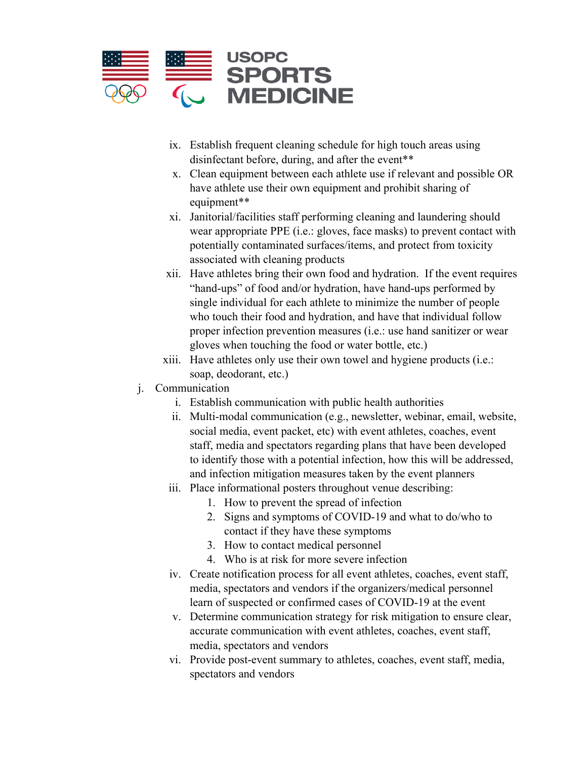<span id="page-11-0"></span>

- ix. Establish frequent cleaning schedule for high touch areas using disinfectant before, during, and after the event[\\*\\*](#page-12-1)
- x. Clean equipment between each athlete use if relevant and possible OR have athlete use their own equipment and prohibit sharing of equipment[\\*\\*](#page-12-1)
- xi. Janitorial/facilities staff performing cleaning and laundering should wear appropriate PPE (i.e.: gloves, face masks) to prevent contact with potentially contaminated surfaces/items, and protect from toxicity associated with cleaning products
- xii. Have athletes bring their own food and hydration. If the event requires "hand-ups" of food and/or hydration, have hand-ups performed by single individual for each athlete to minimize the number of people who touch their food and hydration, and have that individual follow proper infection prevention measures (i.e.: use hand sanitizer or wear gloves when touching the food or water bottle, etc.)
- xiii. Have athletes only use their own towel and hygiene products (i.e.: soap, deodorant, etc.)
- j. Communication
	- i. Establish communication with public health authorities
	- ii. Multi-modal communication (e.g., newsletter, webinar, email, website, social media, event packet, etc) with event athletes, coaches, event staff, media and spectators regarding plans that have been developed to identify those with a potential infection, how this will be addressed, and infection mitigation measures taken by the event planners
	- iii. Place informational posters throughout venue describing:
		- 1. How to prevent the spread of infection
		- 2. Signs and symptoms of COVID-19 and what to do/who to contact if they have these symptoms
		- 3. How to contact medical personnel
		- 4. Who is at risk for more severe infection
	- iv. Create notification process for all event athletes, coaches, event staff, media, spectators and vendors if the organizers/medical personnel learn of suspected or confirmed cases of COVID-19 at the event
	- v. Determine communication strategy for risk mitigation to ensure clear, accurate communication with event athletes, coaches, event staff, media, spectators and vendors
	- vi. Provide post-event summary to athletes, coaches, event staff, media, spectators and vendors